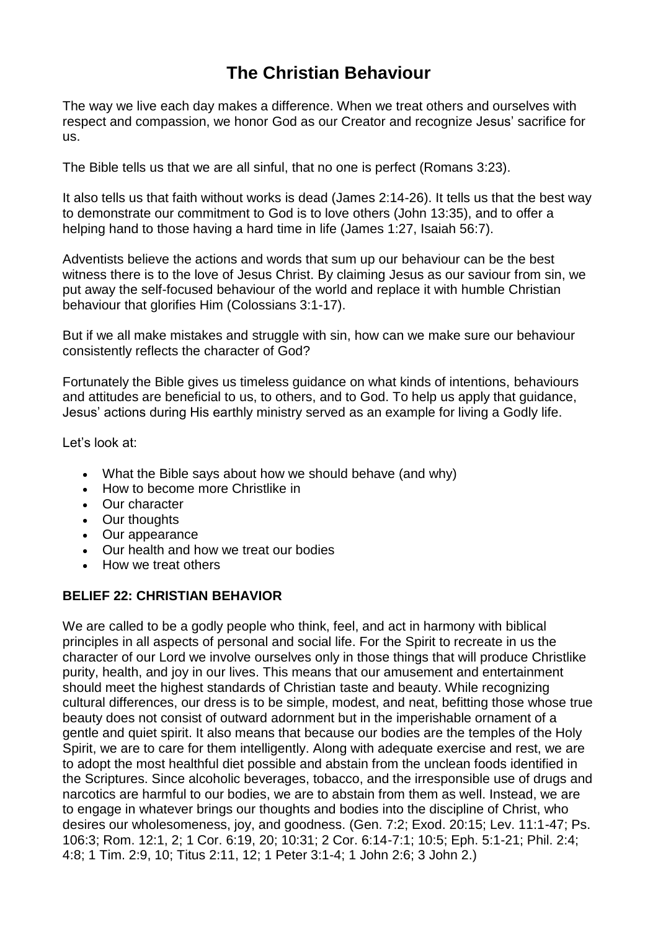# **The Christian Behaviour**

The way we live each day makes a difference. When we treat others and ourselves with respect and compassion, we honor God as our [Creator](https://www.adventist.org/creation/) and recognize Jesus' [sacrifice](https://www.adventist.org/life-death-and-resurrection-of-christ/) for [us.](https://www.adventist.org/life-death-and-resurrection-of-christ/)

The [Bible](https://www.adventist.org/holy-scriptures/) tells us that we [are](https://www.adventist.org/nature-of-humanity/) [a](https://www.adventist.org/nature-of-humanity/)ll [sinful,](https://www.adventist.org/nature-of-humanity/) that no one is perfect (Romans 3:23).

It also tells us that faith without works is dead (James 2:14-26). It tells us that the best way to demonstrate our commitment to [God](https://www.adventist.org/father/) is to love others (John 13:35), and to [offer](https://www.adventist.org/who-are-seventh-day-adventists/the-adventist-church-today/) a [helping](https://www.adventist.org/who-are-seventh-day-adventists/the-adventist-church-today/) hand to those having a hard time in life (James 1:27, Isaiah 56:7).

Adventists believe the actions and words that sum up our behaviour can be the best witness there is to the love of Jesus [Christ.](https://www.adventist.org/son/) By claiming Jesus as our [saviour](https://www.adventist.org/who-are-seventh-day-adventists/salvation-in-jesus-alone/) from sin, we put away the self-focused behaviour of the world and replace it with humble Christian behaviour that glorifies Him (Colossians 3:1-17).

But if we all make mistakes and [struggle](https://www.adventist.org/the-great-controversy/) with sin, how can we make sure our behaviour consistently reflects the character of God?

Fortunately the Bible gives us timeless guidance on what kinds of intentions, behaviours and attitudes are beneficial to us, to others, and to God. To help us apply that guidance, Jesus' actions during His earthly ministry served as an example for living a Godly life.

Let's look at:

- What the Bible says about how we should [behave](https://www.adventist.org/christian-behavior/#bible-says) (and why)
- How to become more [Christlike](https://www.adventist.org/christian-behavior/#christlike) in
- Our [character](https://www.adventist.org/christian-behavior/#character)
- Our [thoughts](https://www.adventist.org/christian-behavior/#thoughts)
- Our [appearance](https://www.adventist.org/christian-behavior/#appearance)
- Our health and how we treat our [bodies](https://www.adventist.org/christian-behavior/#health)
- How we treat [others](https://www.adventist.org/christian-behavior/#others)

## **BELIEF 22: CHRISTIAN BEHAVIOR**

We are called to be a godly people who think, feel, and act in harmony with biblical principles in all aspects of personal and social life. For the Spirit to recreate in us the character of our Lord we involve ourselves only in those things that will produce Christlike purity, health, and joy in our lives. This means that our amusement and entertainment should meet the highest standards of Christian taste and beauty. While recognizing cultural differences, our dress is to be simple, modest, and neat, befitting those whose true beauty does not consist of outward adornment but in the imperishable ornament of a gentle and quiet spirit. It also means that because our bodies are the temples of the Holy Spirit, we are to care for them intelligently. Along with adequate exercise and rest, we are to adopt the most healthful diet possible and abstain from the unclean foods identified in the Scriptures. Since alcoholic beverages, tobacco, and the irresponsible use of drugs and narcotics are harmful to our bodies, we are to abstain from them as well. Instead, we are to engage in whatever brings our thoughts and bodies into the discipline of Christ, who desires our wholesomeness, joy, and goodness. (Gen. 7:2; Exod. 20:15; Lev. 11:1-47; Ps. 106:3; Rom. 12:1, 2; 1 Cor. 6:19, 20; 10:31; 2 Cor. 6:14-7:1; 10:5; Eph. 5:1-21; Phil. 2:4; 4:8; 1 Tim. 2:9, 10; Titus 2:11, 12; 1 Peter 3:1-4; 1 John 2:6; 3 John 2.)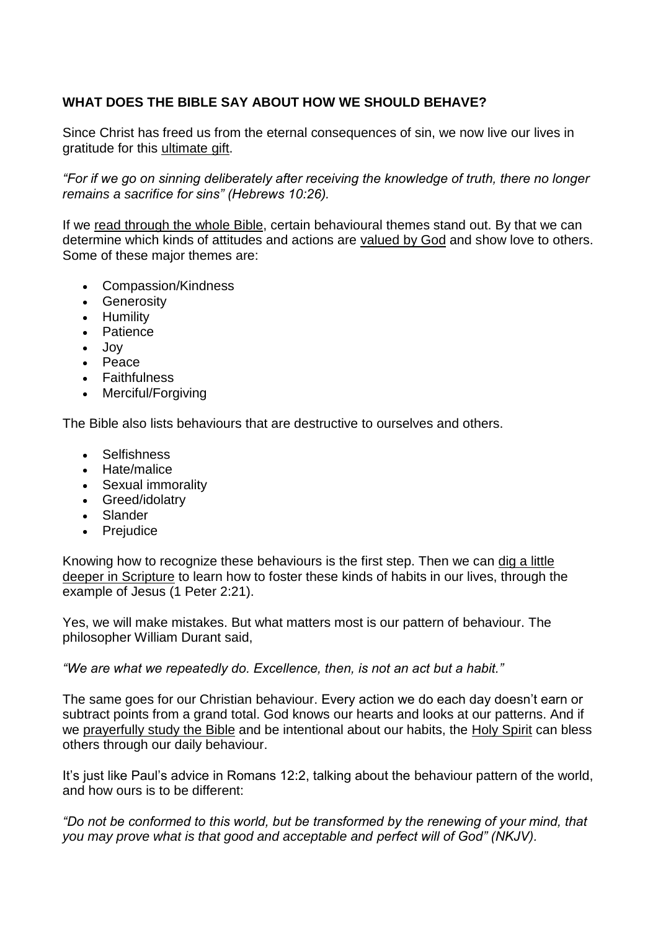# **WHAT DOES THE BIBLE SAY ABOUT HOW WE SHOULD BEHAVE?**

Since Christ has freed us from the eternal consequences of sin, we now live our lives in gratitude for this [ultimate](https://www.adventist.org/experience-of-salvation/) gift.

*"For if we go on sinning deliberately after receiving the knowledge of truth, there no longer remains a sacrifice for sins" (Hebrews 10:26).*

If we read [through](https://www.adventist.org/holy-scriptures/7-ways-prepare-study/) the whole Bible, certain behavioural themes stand out. By that we can determine which kinds of attitudes and actions are [valued](https://www.adventist.org/who-are-seventh-day-adventists/bible-reveals-god/) by God and show love to others. Some of these major themes are:

- Compassion/Kindness
- **•** Generosity
- Humility
- Patience
- Joy
- Peace
- Faithfulness
- Merciful/Forgiving

The Bible also lists behaviours that are destructive to ourselves and others.

- Selfishness
- Hate/malice
- Sexual immorality
- Greed/idolatry
- Slander
- Prejudice

Knowing how to recognize these behaviours is the first step. Then we can dig a [little](https://www.adventist.org/holy-scriptures/applying-bible-to-daily-life/) deeper in [Scripture](https://www.adventist.org/holy-scriptures/applying-bible-to-daily-life/) to learn how to foster these kinds of habits in our lives, through the example of Jesus (1 Peter 2:21).

Yes, we will make mistakes. But what matters most is our pattern of behaviour. The philosopher William Durant said,

*"We are what we repeatedly do. Excellence, then, is not an act but a habit."*

The same goes for our Christian behaviour. Every action we do each day doesn't earn or subtract points from a grand total. God knows our hearts and looks at our patterns. And if we [prayerfully](https://www.adventist.org/holy-scriptures/prayer-with-bible-study/) study the Bible and be intentional about our habits, the Holy [Spirit](https://www.adventist.org/holy-spirit/) can bless others through our daily behaviour.

It's just like Paul's advice in Romans 12:2, talking about the behaviour pattern of the world, and how ours is to be different:

*"Do not be conformed to this world, but be transformed by the renewing of your mind, that you may prove what is that good and acceptable and perfect will of God" (NKJV).*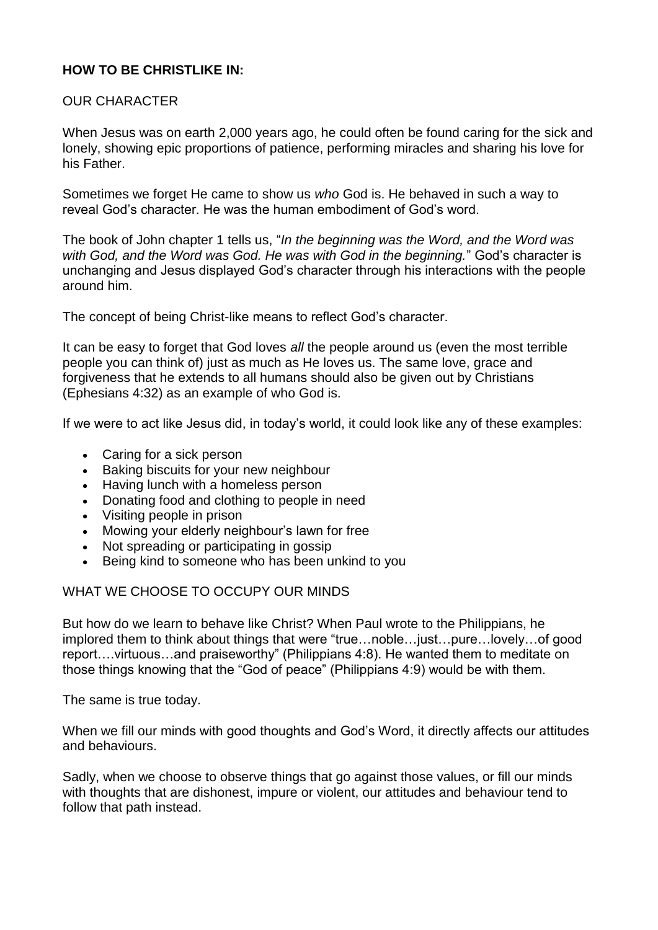# **HOW TO BE CHRISTLIKE IN:**

# OUR CHARACTER

When Jesus was on earth 2,000 years ago, he could often be found caring for the sick and lonely, showing epic proportions of patience, performing miracles and sharing his love for his Father.

Sometimes we forget He came to show us *who* God is. He behaved in such a way to reveal God's character. He was the human embodiment of God's word.

The book of John chapter 1 tells us, "*In the beginning was the Word, and the Word was with God, and the Word was God. He was with God in the beginning.*" God's character is unchanging and Jesus displayed God's character through his interactions with the people around him.

The concept of being Christ-like means to reflect God's character.

It can be easy to forget that God loves *all* the people around us (even the most terrible people you can think of) just as much as He loves us. The same love, grace and forgiveness that he extends to all humans should also be given out by Christians (Ephesians 4:32) as an example of who God is.

If we were to act like Jesus did, in today's world, it could look like any of these examples:

- Caring for a sick person
- Baking biscuits for your new neighbour
- Having lunch with a homeless person
- Donating food and clothing to people in need
- Visiting people in prison
- Mowing your elderly neighbour's lawn for free
- Not spreading or participating in gossip
- Being kind to someone who has been unkind to you

## WHAT WE CHOOSE TO OCCUPY OUR MINDS

But how do we learn to behave like Christ? When Paul wrote to the Philippians, he implored them to think about things that were "true…noble…just…pure…lovely…of good report….virtuous…and praiseworthy" (Philippians 4:8). He wanted them to meditate on those things knowing that the "God of peace" (Philippians 4:9) would be with them.

The same is true today.

When we fill our minds with good thoughts and God's Word, it directly affects our attitudes and behaviours.

Sadly, when we choose to observe things that go against those values, or fill our minds with thoughts that are dishonest, impure or violent, our attitudes and behaviour tend to follow that path instead.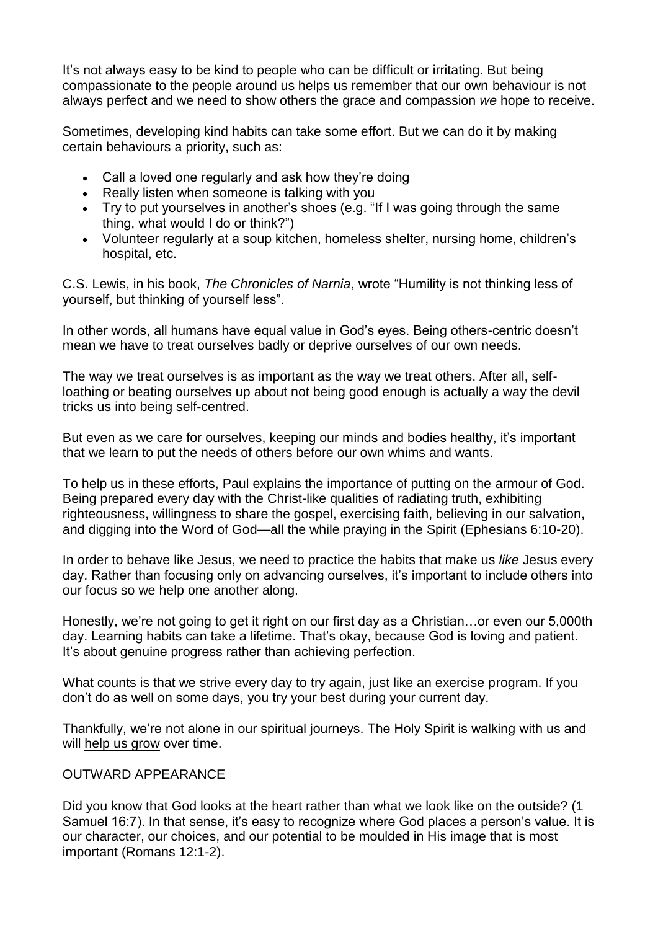It's not always easy to be kind to people who can be difficult or irritating. But being compassionate to the people around us helps us remember that our own behaviour is not always perfect and we need to show others the grace and compassion *we* hope to receive.

Sometimes, developing kind habits can take some effort. But we can do it by making certain behaviours a priority, such as:

- Call a loved one regularly and ask how they're doing
- Really listen when someone is talking with you
- Try to put yourselves in another's shoes (e.g. "If I was going through the same thing, what would I do or think?")
- Volunteer regularly at a soup kitchen, homeless shelter, nursing home, children's hospital, etc.

C.S. Lewis, in his book, *The Chronicles of Narnia*, wrote "Humility is not thinking less of yourself, but thinking of yourself less".

In other words, all humans have equal value in God's eyes. Being others-centric doesn't mean we have to treat ourselves badly or deprive ourselves of our own needs.

The way we treat ourselves is as important as the way we treat others. After all, selfloathing or beating ourselves up about not being good enough is actually a way the devil tricks us into being self-centred.

But even as we care for ourselves, keeping our minds and bodies healthy, it's important that we learn to put the needs of others before our own whims and wants.

To help us in these efforts, Paul explains the importance of putting on the armour of God. Being prepared every day with the Christ-like qualities of radiating truth, exhibiting righteousness, willingness to share the gospel, exercising faith, believing in our salvation, and digging into the Word of God—all the while praying in the Spirit (Ephesians 6:10-20).

In order to behave like Jesus, we need to practice the habits that make us *like* Jesus every day. Rather than focusing only on advancing ourselves, it's important to include others into our focus so we help one another along.

Honestly, we're not going to get it right on our first day as a Christian…or even our 5,000th day. Learning habits can take a lifetime. That's okay, because God is loving and patient. It's about genuine progress rather than achieving perfection.

What counts is that we strive every day to try again, just like an exercise program. If you don't do as well on some days, you try your best during your current day.

Thankfully, we're not alone in our spiritual journeys. The Holy Spirit is walking with us and will help us [grow](https://www.adventist.org/growing-in-christ/) over time.

## OUTWARD APPEARANCE

Did you know that God looks at the heart rather than what we look like on the outside? (1 Samuel 16:7). In that sense, it's easy to recognize where God places a person's value. It is our character, our choices, and our potential to be moulded in His image that is most important (Romans 12:1-2).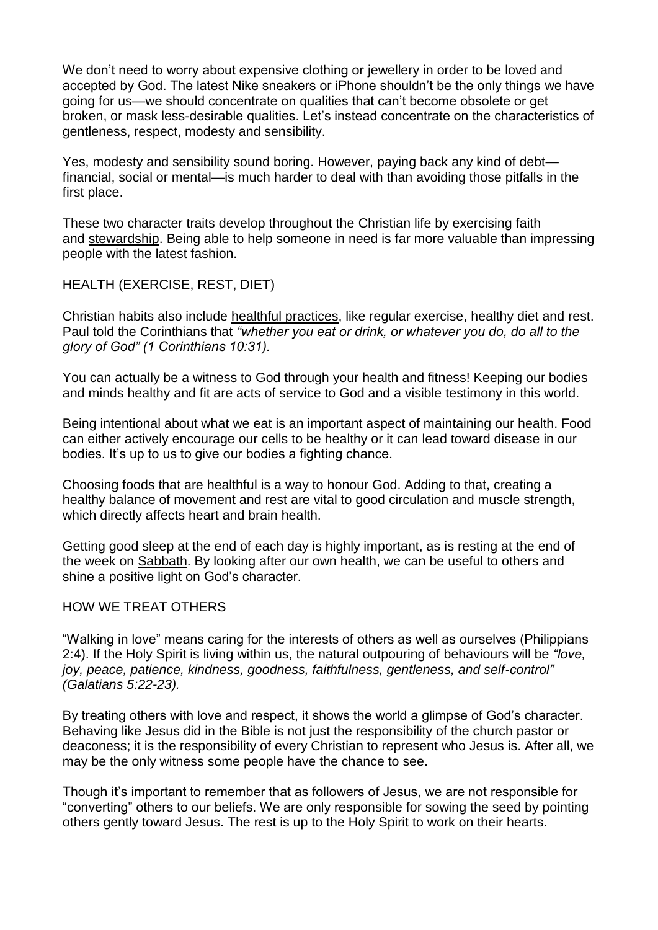We don't need to worry about expensive clothing or jewellery in order to be loved and accepted by God. The latest Nike sneakers or iPhone shouldn't be the only things we have going for us—we should concentrate on qualities that can't become obsolete or get broken, or mask less-desirable qualities. Let's instead concentrate on the characteristics of gentleness, respect, modesty and sensibility.

Yes, modesty and sensibility sound boring. However, paying back any kind of debt financial, social or mental—is much harder to deal with than avoiding those pitfalls in the first place.

These two character traits develop throughout the Christian life by exercising faith and [stewardship.](https://www.adventist.org/stewardship/) Being able to help someone in need is far more valuable than impressing people with the latest fashion.

# HEALTH (EXERCISE, REST, DIET)

Christian habits also include healthful [practices,](https://www.adventist.org/who-are-seventh-day-adventists/adventist-focus-on-lifestyle/) like regular exercise, healthy diet and rest. Paul told the Corinthians that *"whether you eat or drink, or whatever you do, do all to the glory of God" (1 Corinthians 10:31).*

You can actually be a witness to God through your health and fitness! Keeping our bodies and minds healthy and fit are acts of service to God and a visible testimony in this world.

Being intentional about what we eat is an important aspect of maintaining our health. Food can either actively encourage our cells to be healthy or it can lead toward disease in our bodies. It's up to us to give our bodies a fighting chance.

Choosing foods that are healthful is a way to honour God. Adding to that, creating a healthy balance of movement and rest are vital to good circulation and muscle strength, which directly affects heart and brain health.

Getting good sleep at the end of each day is highly important, as is resting at the end of the week on [Sabbath.](https://www.adventist.org/the-sabbath/) By looking after our own health, we can be useful to others and shine a positive light on God's character.

## HOW WE TREAT OTHERS

"Walking in love" means caring for the interests of others as well as ourselves (Philippians 2:4). If the Holy Spirit is living within us, the natural outpouring of behaviours will be *"love, joy, peace, patience, kindness, goodness, faithfulness, gentleness, and self-control" (Galatians 5:22-23).*

By treating others with love and respect, it shows the world a glimpse of God's character. Behaving like Jesus did in the Bible is not just the responsibility of the church pastor or deaconess; it is the responsibility of every Christian to represent who Jesus is. After all, we may be the only witness some people have the chance to see.

Though it's important to remember that as followers of Jesus, we are not responsible for "converting" others to our beliefs. We are only responsible for sowing the seed by pointing others gently toward Jesus. The rest is up to the Holy Spirit to work on their hearts.